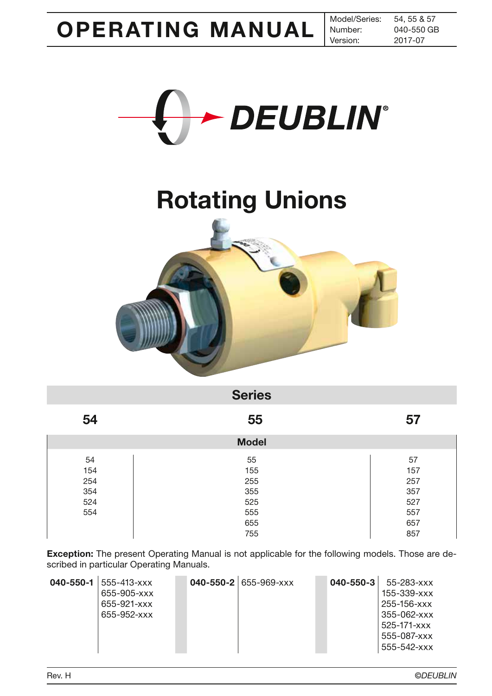2017-07 040-550 GB



# Rotating Unions



| <b>Series</b> |              |     |  |  |  |
|---------------|--------------|-----|--|--|--|
| 54            | 55           | 57  |  |  |  |
|               | <b>Model</b> |     |  |  |  |
| 54            | 55           | 57  |  |  |  |
| 154           | 155          | 157 |  |  |  |
| 254           | 255          | 257 |  |  |  |
| 354           | 355          | 357 |  |  |  |
| 524           | 525          | 527 |  |  |  |
| 554           | 555          | 557 |  |  |  |
|               | 655          | 657 |  |  |  |
|               | 755          | 857 |  |  |  |

Exception: The present Operating Manual is not applicable for the following models. Those are described in particular Operating Manuals.

| 040-550-1 | $555 - 413 - xxx$<br>655-905-xxx<br>655-921-xxx<br>655-952-xxx |  |  | 040-550-2 655-969-xxx |  | 040-550-3 | 55-283-xxx<br>$155 - 339 - xxx$<br>$255 - 156 - x \times x$<br>355-062-xxx<br>$525 - 171 - xxx$<br>555-087-xxx<br>$555 - 542 - xxx$ |
|-----------|----------------------------------------------------------------|--|--|-----------------------|--|-----------|-------------------------------------------------------------------------------------------------------------------------------------|
|-----------|----------------------------------------------------------------|--|--|-----------------------|--|-----------|-------------------------------------------------------------------------------------------------------------------------------------|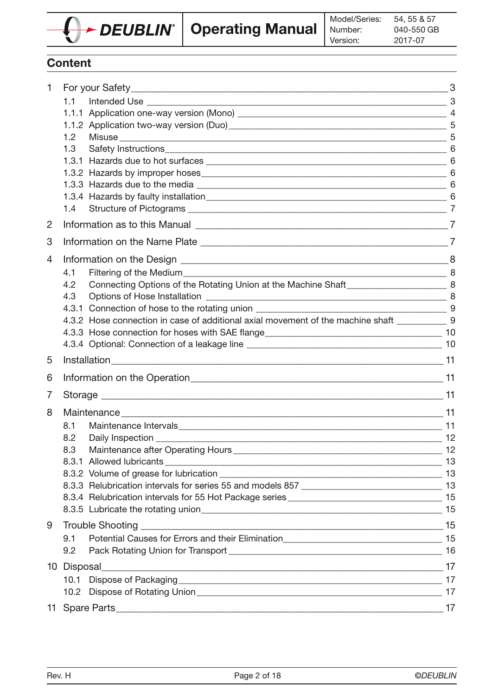

# **Content**

| 1              |                                                                                                                                                    |  |  |  |
|----------------|----------------------------------------------------------------------------------------------------------------------------------------------------|--|--|--|
|                | 1.1                                                                                                                                                |  |  |  |
|                |                                                                                                                                                    |  |  |  |
|                |                                                                                                                                                    |  |  |  |
|                | 1.2 <sub>2</sub>                                                                                                                                   |  |  |  |
|                | 1.3                                                                                                                                                |  |  |  |
|                |                                                                                                                                                    |  |  |  |
|                |                                                                                                                                                    |  |  |  |
|                |                                                                                                                                                    |  |  |  |
|                |                                                                                                                                                    |  |  |  |
|                | 1.4                                                                                                                                                |  |  |  |
| $\overline{2}$ |                                                                                                                                                    |  |  |  |
| 3              |                                                                                                                                                    |  |  |  |
| 4              |                                                                                                                                                    |  |  |  |
|                | 4.1                                                                                                                                                |  |  |  |
|                | 4.2                                                                                                                                                |  |  |  |
|                | 4.3                                                                                                                                                |  |  |  |
|                |                                                                                                                                                    |  |  |  |
|                | 4.3.2 Hose connection in case of additional axial movement of the machine shaft _____________9                                                     |  |  |  |
|                |                                                                                                                                                    |  |  |  |
|                |                                                                                                                                                    |  |  |  |
| 5              |                                                                                                                                                    |  |  |  |
| 6              |                                                                                                                                                    |  |  |  |
| 7              |                                                                                                                                                    |  |  |  |
| 8              |                                                                                                                                                    |  |  |  |
|                | 8.1                                                                                                                                                |  |  |  |
|                | 8.2                                                                                                                                                |  |  |  |
|                | 8.3                                                                                                                                                |  |  |  |
|                |                                                                                                                                                    |  |  |  |
|                |                                                                                                                                                    |  |  |  |
|                | 8.3.3 Relubrication intervals for series 55 and models 857 [14] [14] [15] 15 [16] [16] 16.3.3 Relubrication intervals for series 55 and models 857 |  |  |  |
|                |                                                                                                                                                    |  |  |  |
|                |                                                                                                                                                    |  |  |  |
| 9              |                                                                                                                                                    |  |  |  |
|                | 9.1                                                                                                                                                |  |  |  |
|                | 9.2                                                                                                                                                |  |  |  |
|                |                                                                                                                                                    |  |  |  |
|                |                                                                                                                                                    |  |  |  |
|                |                                                                                                                                                    |  |  |  |
|                |                                                                                                                                                    |  |  |  |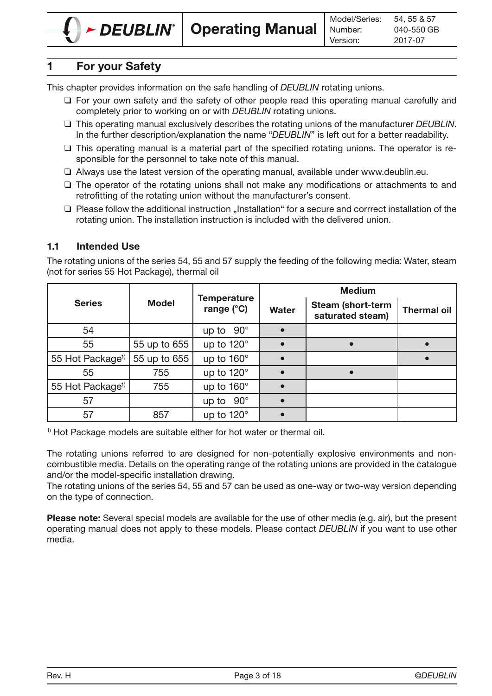# 1 For your Safety

This chapter provides information on the safe handling of *DEUBLIN* rotating unions.

- □ For your own safety and the safety of other people read this operating manual carefully and completely prior to working on or with DEUBLIN rotating unions.
- $\Box$  This operating manual exclusively describes the rotating unions of the manufacturer DEUBLIN. In the further description/explanation the name "DEUBLIN" is left out for a better readability.
- ❑ This operating manual is a material part of the specified rotating unions. The operator is responsible for the personnel to take note of this manual.
- ❑ Always use the latest version of the operating manual, available under www.deublin.eu.
- ❑ The operator of the rotating unions shall not make any modifications or attachments to and retrofitting of the rotating union without the manufacturer's consent.
- □ Please follow the additional instruction "Installation" for a secure and corrrect installation of the rotating union. The installation instruction is included with the delivered union.

# 1.1 Intended Use

The rotating unions of the series 54, 55 and 57 supply the feeding of the following media: Water, steam (not for series 55 Hot Package), thermal oil

|                              |              |                                           | <b>Medium</b> |                                              |                    |  |  |
|------------------------------|--------------|-------------------------------------------|---------------|----------------------------------------------|--------------------|--|--|
| <b>Series</b>                | <b>Model</b> | <b>Temperature</b><br>range $(^{\circ}C)$ | <b>Water</b>  | <b>Steam (short-term</b><br>saturated steam) | <b>Thermal oil</b> |  |  |
| 54                           |              | up to $90^\circ$                          |               |                                              |                    |  |  |
| 55                           | 55 up to 655 | up to 120°                                |               |                                              |                    |  |  |
| 55 Hot Package <sup>1)</sup> | 55 up to 655 | up to 160°                                |               |                                              |                    |  |  |
| 55                           | 755          | up to 120°                                |               |                                              |                    |  |  |
| 55 Hot Package <sup>1)</sup> | 755          | up to $160^\circ$                         |               |                                              |                    |  |  |
| 57                           |              | $90^\circ$<br>up to                       |               |                                              |                    |  |  |
| 57                           | 857          | up to 120°                                |               |                                              |                    |  |  |

<sup>1)</sup> Hot Package models are suitable either for hot water or thermal oil.

The rotating unions referred to are designed for non-potentially explosive environments and noncombustible media. Details on the operating range of the rotating unions are provided in the catalogue and/or the model-specific installation drawing.

The rotating unions of the series 54, 55 and 57 can be used as one-way or two-way version depending on the type of connection.

Please note: Several special models are available for the use of other media (e.g. air), but the present operating manual does not apply to these models. Please contact DEUBLIN if you want to use other media.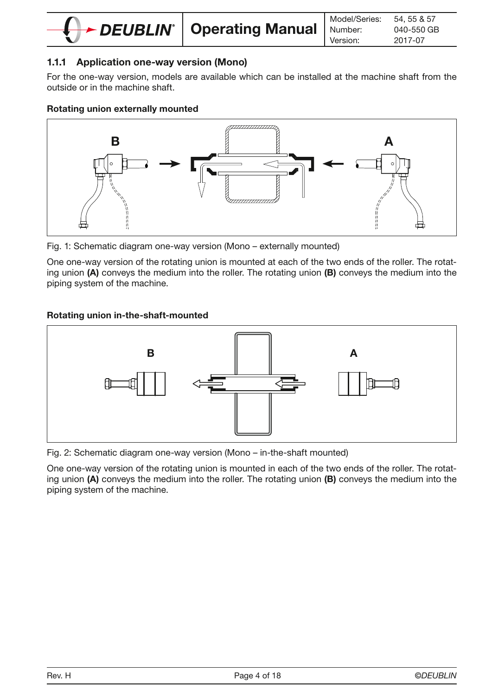

# 1.1.1 Application one-way version (Mono)

For the one-way version, models are available which can be installed at the machine shaft from the outside or in the machine shaft.

#### Rotating union externally mounted



Fig. 1: Schematic diagram one-way version (Mono – externally mounted)

One one-way version of the rotating union is mounted at each of the two ends of the roller. The rotating union (A) conveys the medium into the roller. The rotating union (B) conveys the medium into the piping system of the machine.

#### Rotating union in-the-shaft-mounted



Fig. 2: Schematic diagram one-way version (Mono – in-the-shaft mounted)

One one-way version of the rotating union is mounted in each of the two ends of the roller. The rotating union (A) conveys the medium into the roller. The rotating union (B) conveys the medium into the piping system of the machine.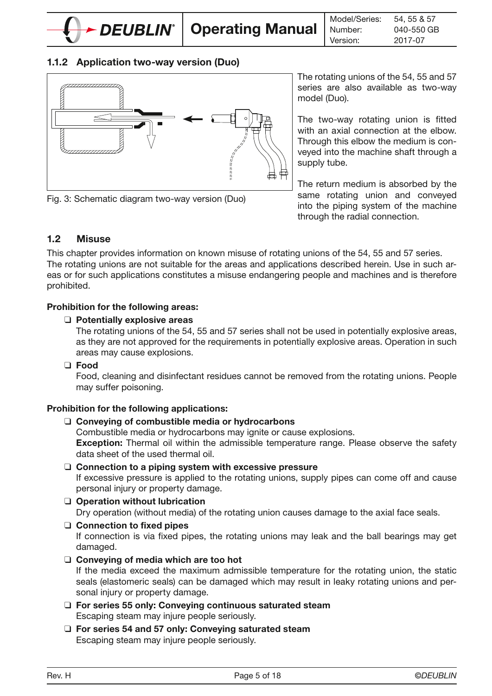

### 1.1.2 Application two-way version (Duo)



Fig. 3: Schematic diagram two-way version (Duo)

The rotating unions of the 54, 55 and 57 series are also available as two-way model (Duo).

The two-way rotating union is fitted with an axial connection at the elbow. Through this elbow the medium is conveyed into the machine shaft through a supply tube.

The return medium is absorbed by the same rotating union and conveyed into the piping system of the machine through the radial connection.

### 1.2 Misuse

This chapter provides information on known misuse of rotating unions of the 54, 55 and 57 series. The rotating unions are not suitable for the areas and applications described herein. Use in such areas or for such applications constitutes a misuse endangering people and machines and is therefore prohibited.

#### Prohibition for the following areas:

#### ❑ Potentially explosive areas

The rotating unions of the 54, 55 and 57 series shall not be used in potentially explosive areas, as they are not approved for the requirements in potentially explosive areas. Operation in such areas may cause explosions.

❑ Food

Food, cleaning and disinfectant residues cannot be removed from the rotating unions. People may suffer poisoning.

#### Prohibition for the following applications:

❑ Conveying of combustible media or hydrocarbons

Combustible media or hydrocarbons may ignite or cause explosions. **Exception:** Thermal oil within the admissible temperature range. Please observe the safety data sheet of the used thermal oil.

❑ Connection to a piping system with excessive pressure

If excessive pressure is applied to the rotating unions, supply pipes can come off and cause personal injury or property damage.

- ❑ Operation without lubrication Dry operation (without media) of the rotating union causes damage to the axial face seals.
- ❑ Connection to fixed pipes If connection is via fixed pipes, the rotating unions may leak and the ball bearings may get damaged.
- ❑ Conveying of media which are too hot

If the media exceed the maximum admissible temperature for the rotating union, the static seals (elastomeric seals) can be damaged which may result in leaky rotating unions and personal injury or property damage.

- ❑ For series 55 only: Conveying continuous saturated steam Escaping steam may injure people seriously.
- ❑ For series 54 and 57 only: Conveying saturated steam Escaping steam may injure people seriously.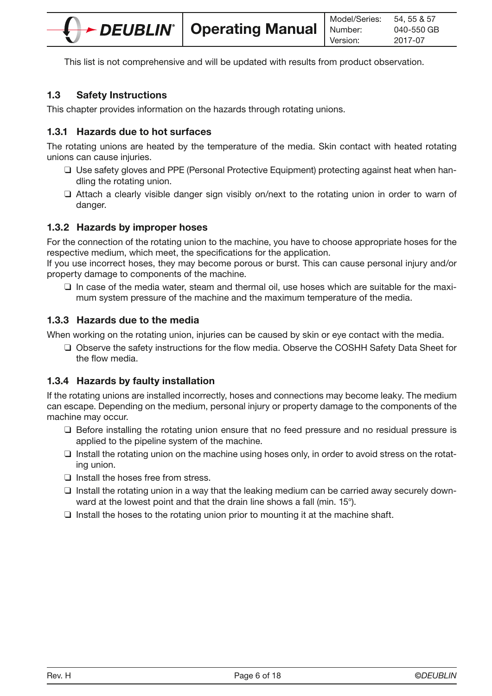This list is not comprehensive and will be updated with results from product observation.

# 1.3 Safety Instructions

This chapter provides information on the hazards through rotating unions.

### 1.3.1 Hazards due to hot surfaces

The rotating unions are heated by the temperature of the media. Skin contact with heated rotating unions can cause injuries.

- ❑ Use safety gloves and PPE (Personal Protective Equipment) protecting against heat when handling the rotating union.
- ❑ Attach a clearly visible danger sign visibly on/next to the rotating union in order to warn of danger.

# 1.3.2 Hazards by improper hoses

For the connection of the rotating union to the machine, you have to choose appropriate hoses for the respective medium, which meet, the specifications for the application.

If you use incorrect hoses, they may become porous or burst. This can cause personal injury and/or property damage to components of the machine.

❑ In case of the media water, steam and thermal oil, use hoses which are suitable for the maximum system pressure of the machine and the maximum temperature of the media.

# 1.3.3 Hazards due to the media

When working on the rotating union, injuries can be caused by skin or eye contact with the media.

❑ Observe the safety instructions for the flow media. Observe the COSHH Safety Data Sheet for the flow media.

# 1.3.4 Hazards by faulty installation

If the rotating unions are installed incorrectly, hoses and connections may become leaky. The medium can escape. Depending on the medium, personal injury or property damage to the components of the machine may occur.

- ❑ Before installing the rotating union ensure that no feed pressure and no residual pressure is applied to the pipeline system of the machine.
- ❑ Install the rotating union on the machine using hoses only, in order to avoid stress on the rotating union.
- ❑ Install the hoses free from stress.
- ❑ Install the rotating union in a way that the leaking medium can be carried away securely downward at the lowest point and that the drain line shows a fall (min. 15°).
- $\Box$  Install the hoses to the rotating union prior to mounting it at the machine shaft.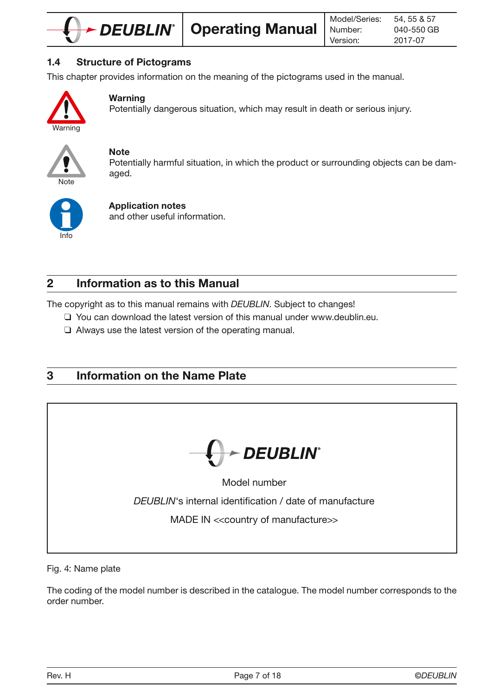

### 1.4 Structure of Pictograms

This chapter provides information on the meaning of the pictograms used in the manual.



### Warning

Potentially dangerous situation, which may result in death or serious injury.



#### **Note**

Potentially harmful situation, in which the product or surrounding objects can be damaged.



# Application notes

and other useful information.

# 2 Information as to this Manual

The copyright as to this manual remains with DEUBLIN. Subject to changes!

- ❑ You can download the latest version of this manual under www.deublin.eu.
- ❑ Always use the latest version of the operating manual.

# 3 Information on the Name Plate



Fig. 4: Name plate

The coding of the model number is described in the catalogue. The model number corresponds to the order number.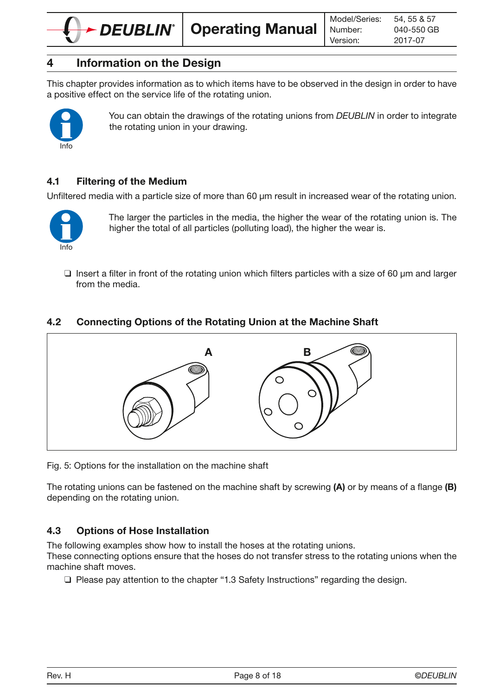

This chapter provides information as to which items have to be observed in the design in order to have a positive effect on the service life of the rotating union.



You can obtain the drawings of the rotating unions from DEUBLIN in order to integrate the rotating union in your drawing.

# 4.1 Filtering of the Medium

Unfiltered media with a particle size of more than 60 um result in increased wear of the rotating union.



The larger the particles in the media, the higher the wear of the rotating union is. The higher the total of all particles (polluting load), the higher the wear is.

 $\Box$  Insert a filter in front of the rotating union which filters particles with a size of 60  $\mu$ m and larger from the media.

# 4.2 Connecting Options of the Rotating Union at the Machine Shaft



Fig. 5: Options for the installation on the machine shaft

The rotating unions can be fastened on the machine shaft by screwing  $(A)$  or by means of a flange  $(B)$ depending on the rotating union.

# 4.3 Options of Hose Installation

The following examples show how to install the hoses at the rotating unions.

These connecting options ensure that the hoses do not transfer stress to the rotating unions when the machine shaft moves.

❑ Please pay attention to the chapter "1.3 Safety Instructions" regarding the design.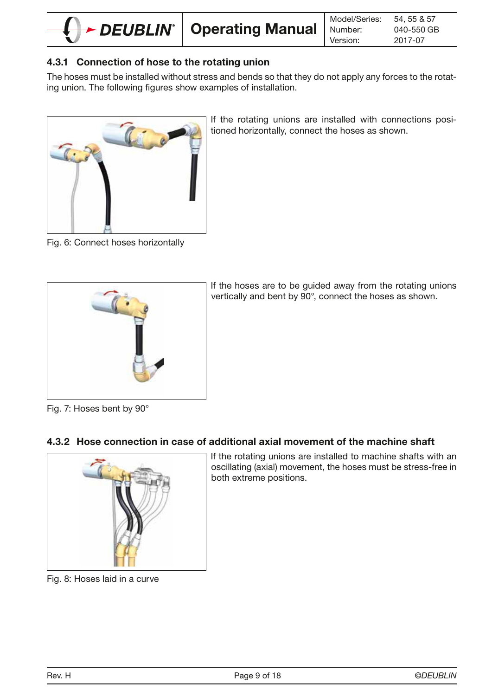

# 4.3.1 Connection of hose to the rotating union

The hoses must be installed without stress and bends so that they do not apply any forces to the rotating union. The following figures show examples of installation.



If the rotating unions are installed with connections positioned horizontally, connect the hoses as shown.

Fig. 6: Connect hoses horizontally



If the hoses are to be guided away from the rotating unions vertically and bent by 90°, connect the hoses as shown.

Fig. 7: Hoses bent by 90°

# 4.3.2 Hose connection in case of additional axial movement of the machine shaft



If the rotating unions are installed to machine shafts with an oscillating (axial) movement, the hoses must be stress-free in both extreme positions.

Fig. 8: Hoses laid in a curve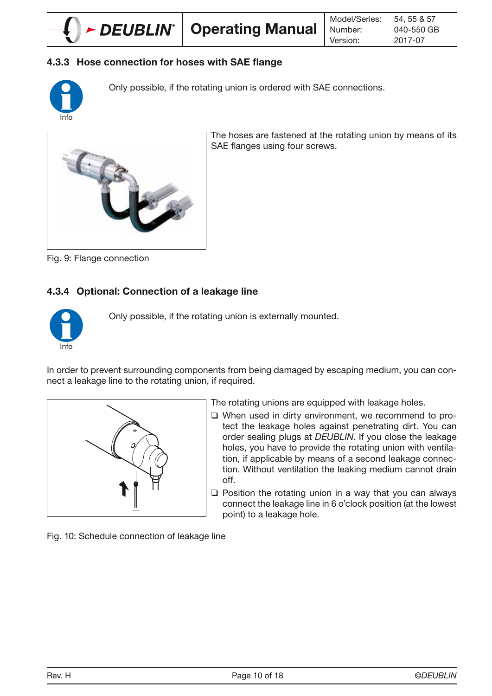

# 4.3.3 Hose connection for hoses with SAE flange



Only possible, if the rotating union is ordered with SAE connections.



The hoses are fastened at the rotating union by means of its SAE flanges using four screws.

Fig. 9: Flange connection

# 4.3.4 Optional: Connection of a leakage line



Only possible, if the rotating union is externally mounted.

In order to prevent surrounding components from being damaged by escaping medium, you can connect a leakage line to the rotating union, if required.



The rotating unions are equipped with leakage holes.

- ❑ When used in dirty environment, we recommend to protect the leakage holes against penetrating dirt. You can order sealing plugs at DEUBLIN. If you close the leakage holes, you have to provide the rotating union with ventilation, if applicable by means of a second leakage connection. Without ventilation the leaking medium cannot drain off.
- ❑ Position the rotating union in a way that you can always connect the leakage line in 6 o'clock position (at the lowest point) to a leakage hole.

Fig. 10: Schedule connection of leakage line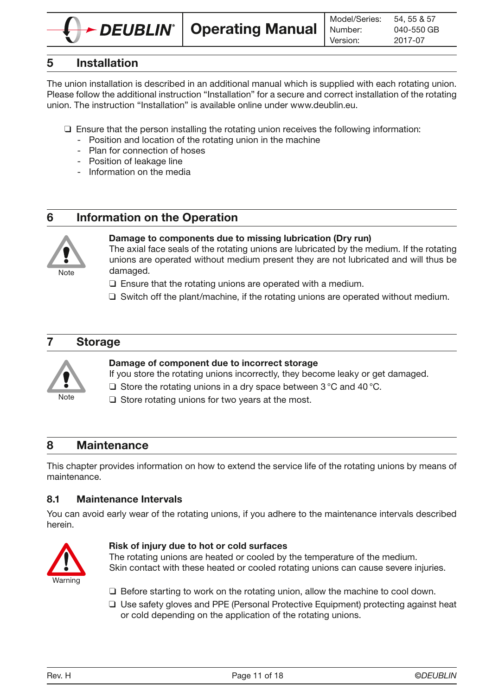

# 5 Installation

The union installation is described in an additional manual which is supplied with each rotating union. Please follow the additional instruction "Installation" for a secure and correct installation of the rotating union. The instruction "Installation" is available online under www.deublin.eu.

- ❑ Ensure that the person installing the rotating union receives the following information:
	- Position and location of the rotating union in the machine
	- Plan for connection of hoses
	- Position of leakage line
	- Information on the media

# 6 Information on the Operation



#### Damage to components due to missing lubrication (Dry run)

The axial face seals of the rotating unions are lubricated by the medium. If the rotating unions are operated without medium present they are not lubricated and will thus be damaged.

- ❑ Ensure that the rotating unions are operated with a medium.
- ❑ Switch off the plant/machine, if the rotating unions are operated without medium.

# 7 Storage



#### Damage of component due to incorrect storage

If you store the rotating unions incorrectly, they become leaky or get damaged.

- ❑ Store the rotating unions in a dry space between 3 °C and 40 °C.
- ❑ Store rotating unions for two years at the most.

# 8 Maintenance

This chapter provides information on how to extend the service life of the rotating unions by means of maintenance.

### 8.1 Maintenance Intervals

You can avoid early wear of the rotating unions, if you adhere to the maintenance intervals described herein.



#### Risk of injury due to hot or cold surfaces

The rotating unions are heated or cooled by the temperature of the medium. Skin contact with these heated or cooled rotating unions can cause severe injuries.

- ❑ Before starting to work on the rotating union, allow the machine to cool down.
- ❑ Use safety gloves and PPE (Personal Protective Equipment) protecting against heat or cold depending on the application of the rotating unions.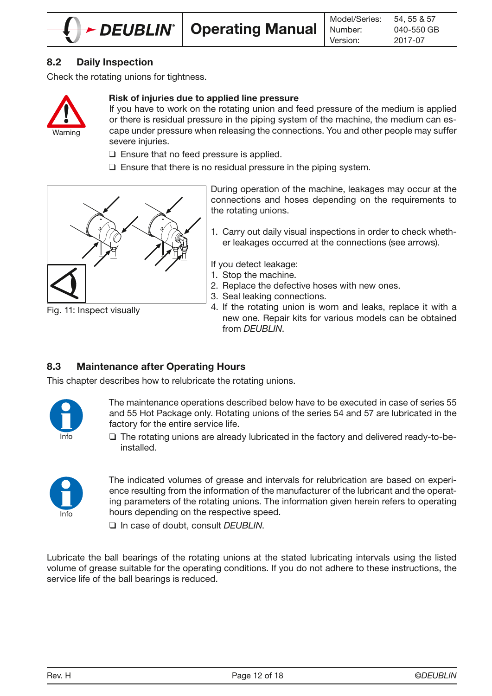

# 8.2 Daily Inspection

Check the rotating unions for tightness.



#### Risk of injuries due to applied line pressure

If you have to work on the rotating union and feed pressure of the medium is applied or there is residual pressure in the piping system of the machine, the medium can escape under pressure when releasing the connections. You and other people may suffer severe injuries.

- ❑ Ensure that no feed pressure is applied.
- ❑ Ensure that there is no residual pressure in the piping system.



Fig. 11: Inspect visually

During operation of the machine, leakages may occur at the connections and hoses depending on the requirements to the rotating unions.

1. Carry out daily visual inspections in order to check whether leakages occurred at the connections (see arrows).

If you detect leakage:

- 1. Stop the machine.
- 2. Replace the defective hoses with new ones.
- 3. Seal leaking connections.
- 4. If the rotating union is worn and leaks, replace it with a new one. Repair kits for various models can be obtained from DEUBLIN.

### 8.3 Maintenance after Operating Hours

This chapter describes how to relubricate the rotating unions.



The maintenance operations described below have to be executed in case of series 55 and 55 Hot Package only. Rotating unions of the series 54 and 57 are lubricated in the factory for the entire service life.

❑ The rotating unions are already lubricated in the factory and delivered ready-to-beinstalled.



The indicated volumes of grease and intervals for relubrication are based on experience resulting from the information of the manufacturer of the lubricant and the operating parameters of the rotating unions. The information given herein refers to operating hours depending on the respective speed.

□ In case of doubt, consult DEUBLIN.

Lubricate the ball bearings of the rotating unions at the stated lubricating intervals using the listed volume of grease suitable for the operating conditions. If you do not adhere to these instructions, the service life of the ball bearings is reduced.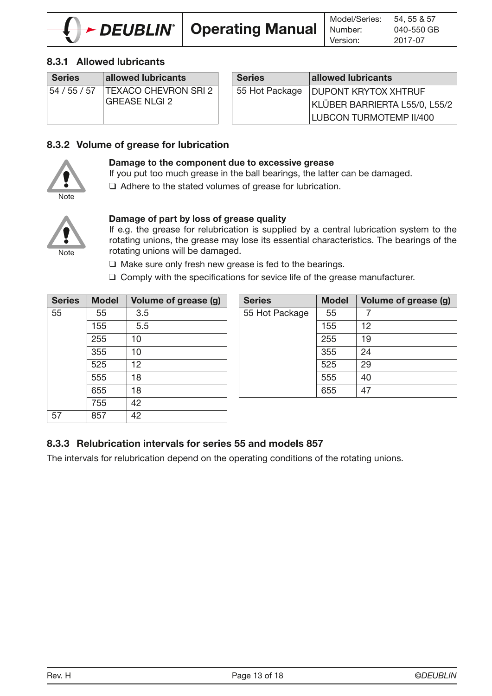

# 8.3.1 Allowed lubricants

| <b>Series</b> | allowed lubricants                  | <b>Series</b>  | allowed lubricants     |
|---------------|-------------------------------------|----------------|------------------------|
|               | 54 / 55 / 57   TEXACO CHEVRON SRI 2 | 55 Hot Package | <b>DUPONT KRYTOX</b>   |
|               | <b>GREASE NLGI 2</b>                |                | <b>KLÜBER BARRIERT</b> |
|               |                                     |                | LUBCON TURMOTI         |

| <b>Series</b>  | allowed lubricants             |
|----------------|--------------------------------|
| 55 Hot Package | <b>DUPONT KRYTOX XHTRUF</b>    |
|                | KLÜBER BARRIERTA L55/0, L55/2  |
|                | <b>LUBCON TURMOTEMP II/400</b> |

### 8.3.2 Volume of grease for lubrication



#### Damage to the component due to excessive grease

If you put too much grease in the ball bearings, the latter can be damaged.

❑ Adhere to the stated volumes of grease for lubrication.



### Damage of part by loss of grease quality

If e.g. the grease for relubrication is supplied by a central lubrication system to the rotating unions, the grease may lose its essential characteristics. The bearings of the rotating unions will be damaged.

❑ Make sure only fresh new grease is fed to the bearings.

❑ Comply with the specifications for sevice life of the grease manufacturer.

| <b>Series</b> | <b>Model</b> | Volume of grease (g) | <b>Series</b>  | <b>Model</b> | Vo |
|---------------|--------------|----------------------|----------------|--------------|----|
| 55            | 55           | 3.5                  | 55 Hot Package | 55           | 7  |
|               | 155          | 5.5                  |                | 155          | 12 |
|               | 255          | 10                   |                | 255          | 19 |
|               | 355          | 10                   |                | 355          | 24 |
|               | 525          | 12                   |                | 525          | 29 |
|               | 555          | 18                   |                | 555          | 40 |
|               | 655          | 18                   |                | 655          | 47 |
|               | 755          | 42                   |                |              |    |
| 57            | 857          | 42                   |                |              |    |

| <b>Series</b> | <b>Model</b> | Volume of grease (g) | <b>Series</b>  | <b>Model</b> | Volume of grease (g) |
|---------------|--------------|----------------------|----------------|--------------|----------------------|
| 55            | 55           | 3.5                  | 55 Hot Package | 55           |                      |
|               | 155          | 5.5                  |                | 155          | 12                   |
|               | 255          | 10                   |                | 255          | 19                   |
|               | 355          | 10                   |                | 355          | 24                   |
|               | 525          | 12                   |                | 525          | 29                   |
|               | 555          | 18                   |                | 555          | 40                   |
|               | 655          | 18                   |                | 655          | 47                   |
|               |              |                      |                |              |                      |

# 8.3.3 Relubrication intervals for series 55 and models 857

The intervals for relubrication depend on the operating conditions of the rotating unions.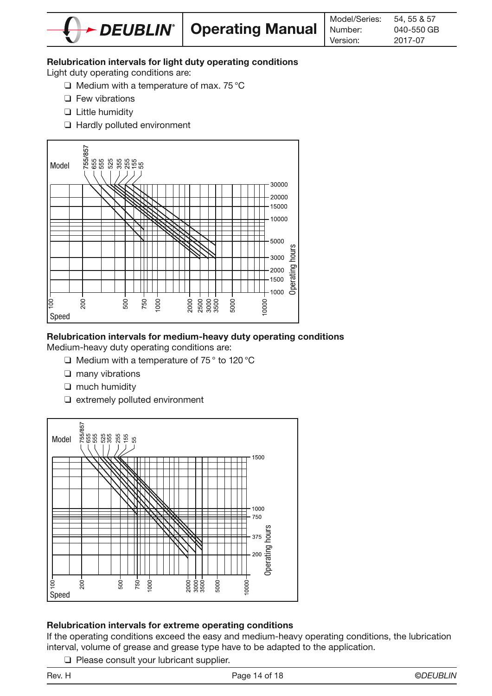

#### Relubrication intervals for light duty operating conditions

Light duty operating conditions are:

- ❑ Medium with a temperature of max. 75 °C
- ❑ Few vibrations
- ❑ Little humidity
- ❑ Hardly polluted environment



# Relubrication intervals for medium-heavy duty operating conditions

Medium-heavy duty operating conditions are:

- ❑ Medium with a temperature of 75 ° to 120 °C
- ❑ many vibrations
- ❑ much humidity
- ❑ extremely polluted environment



#### Relubrication intervals for extreme operating conditions

If the operating conditions exceed the easy and medium-heavy operating conditions, the lubrication interval, volume of grease and grease type have to be adapted to the application.

❑ Please consult your lubricant supplier.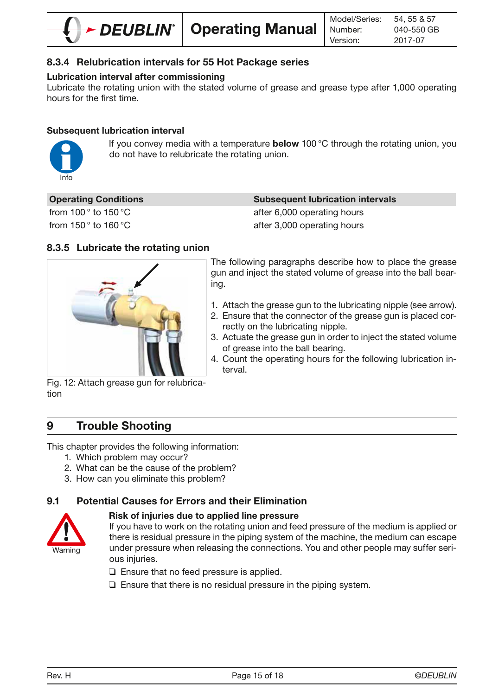

# 8.3.4 Relubrication intervals for 55 Hot Package series

# Lubrication interval after commissioning

Lubricate the rotating union with the stated volume of grease and grease type after 1,000 operating hours for the first time.

### Subsequent lubrication interval



If you convey media with a temperature **below** 100 $^{\circ}$ C through the rotating union, you do not have to relubricate the rotating union.

#### **Subsequent lubrication intervals**

from  $100^\circ$  to  $150^\circ$ C after 6,000 operating hours from  $150^\circ$  to  $160^\circ$ C after 3,000 operating hours

# 8.3.5 Lubricate the rotating union



The following paragraphs describe how to place the grease gun and inject the stated volume of grease into the ball bearing.

- 1. Attach the grease gun to the lubricating nipple (see arrow).
- 2. Ensure that the connector of the grease gun is placed correctly on the lubricating nipple.
- 3. Actuate the grease gun in order to inject the stated volume of grease into the ball bearing.
- 4. Count the operating hours for the following lubrication interval.

Fig. 12: Attach grease gun for relubrication

# 9 Trouble Shooting

This chapter provides the following information:

- 1. Which problem may occur?
- 2. What can be the cause of the problem?
- 3. How can you eliminate this problem?

# 9.1 Potential Causes for Errors and their Elimination



#### Risk of injuries due to applied line pressure

If you have to work on the rotating union and feed pressure of the medium is applied or there is residual pressure in the piping system of the machine, the medium can escape under pressure when releasing the connections. You and other people may suffer serious injuries.

- ❑ Ensure that no feed pressure is applied.
- ❑ Ensure that there is no residual pressure in the piping system.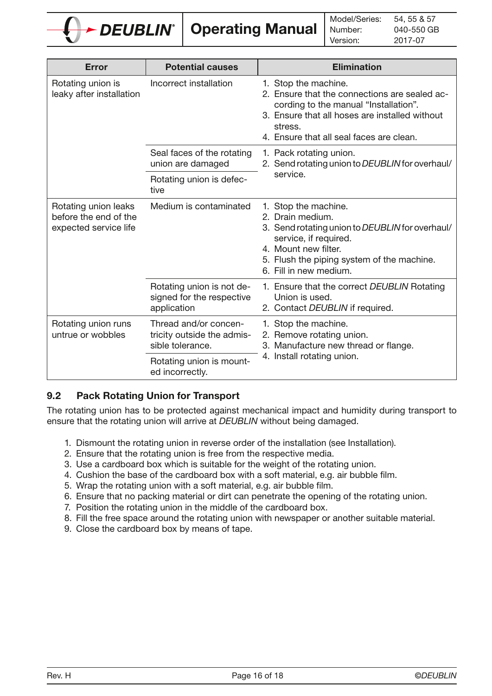

Operating Manual

 54, 55 & 57 Model/Series: Number: 2017-07 040-550 GB Version:

| Error                                                                  | <b>Potential causes</b>                                                 | <b>Elimination</b>                                                                                                                                                                                                      |
|------------------------------------------------------------------------|-------------------------------------------------------------------------|-------------------------------------------------------------------------------------------------------------------------------------------------------------------------------------------------------------------------|
| Rotating union is<br>leaky after installation                          | Incorrect installation                                                  | 1. Stop the machine.<br>2. Ensure that the connections are sealed ac-<br>cording to the manual "Installation".<br>3. Ensure that all hoses are installed without<br>stress.<br>4. Ensure that all seal faces are clean. |
|                                                                        | Seal faces of the rotating<br>union are damaged                         | 1. Pack rotating union.<br>2. Send rotating union to DEUBLIN for overhaul/                                                                                                                                              |
|                                                                        | Rotating union is defec-<br>tive                                        | service.                                                                                                                                                                                                                |
| Rotating union leaks<br>before the end of the<br>expected service life | Medium is contaminated                                                  | 1. Stop the machine.<br>2. Drain medium.<br>3. Send rotating union to DEUBLIN for overhaul/<br>service, if required.<br>4. Mount new filter.<br>5. Flush the piping system of the machine.<br>6. Fill in new medium.    |
|                                                                        | Rotating union is not de-<br>signed for the respective<br>application   | 1. Ensure that the correct DEUBLIN Rotating<br>Union is used.<br>2. Contact DEUBLIN if required.                                                                                                                        |
| Rotating union runs<br>untrue or wobbles                               | Thread and/or concen-<br>tricity outside the admis-<br>sible tolerance. | 1. Stop the machine.<br>2. Remove rotating union.<br>3. Manufacture new thread or flange.                                                                                                                               |
|                                                                        | Rotating union is mount-<br>ed incorrectly.                             | 4. Install rotating union.                                                                                                                                                                                              |

# 9.2 Pack Rotating Union for Transport

The rotating union has to be protected against mechanical impact and humidity during transport to ensure that the rotating union will arrive at DEUBLIN without being damaged.

- 1. Dismount the rotating union in reverse order of the installation (see Installation).
- 2. Ensure that the rotating union is free from the respective media.
- 3. Use a cardboard box which is suitable for the weight of the rotating union.
- 4. Cushion the base of the cardboard box with a soft material, e.g. air bubble film.
- 5. Wrap the rotating union with a soft material, e.g. air bubble film.
- 6. Ensure that no packing material or dirt can penetrate the opening of the rotating union.
- 7. Position the rotating union in the middle of the cardboard box.
- 8. Fill the free space around the rotating union with newspaper or another suitable material.
- 9. Close the cardboard box by means of tape.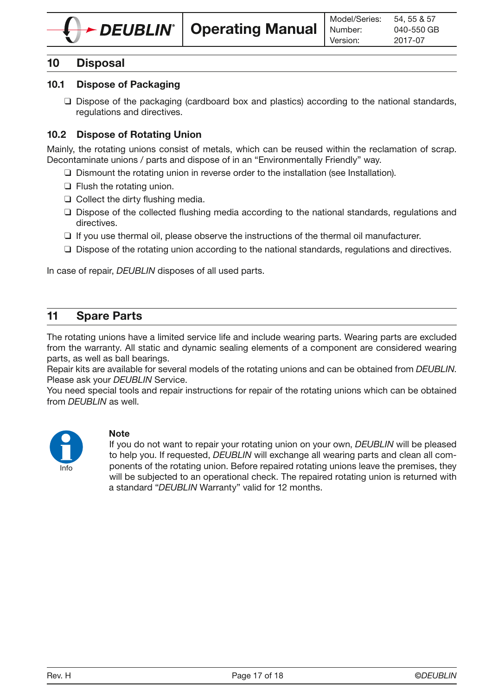

# 10 Disposal

### 10.1 Dispose of Packaging

❑ Dispose of the packaging (cardboard box and plastics) according to the national standards, regulations and directives.

### 10.2 Dispose of Rotating Union

Mainly, the rotating unions consist of metals, which can be reused within the reclamation of scrap. Decontaminate unions / parts and dispose of in an "Environmentally Friendly" way.

- ❑ Dismount the rotating union in reverse order to the installation (see Installation).
- ❑ Flush the rotating union.
- ❑ Collect the dirty flushing media.
- ❑ Dispose of the collected flushing media according to the national standards, regulations and directives.
- ❑ If you use thermal oil, please observe the instructions of the thermal oil manufacturer.
- ❑ Dispose of the rotating union according to the national standards, regulations and directives.

In case of repair, DEUBLIN disposes of all used parts.

# 11 Spare Parts

The rotating unions have a limited service life and include wearing parts. Wearing parts are excluded from the warranty. All static and dynamic sealing elements of a component are considered wearing parts, as well as ball bearings.

Repair kits are available for several models of the rotating unions and can be obtained from DEUBLIN. Please ask your DEUBLIN Service.

You need special tools and repair instructions for repair of the rotating unions which can be obtained from DEUBLIN as well.



#### **Note**

If you do not want to repair your rotating union on your own, DEUBLIN will be pleased to help you. If requested, DEUBLIN will exchange all wearing parts and clean all components of the rotating union. Before repaired rotating unions leave the premises, they will be subjected to an operational check. The repaired rotating union is returned with a standard "DEUBLIN Warranty" valid for 12 months.